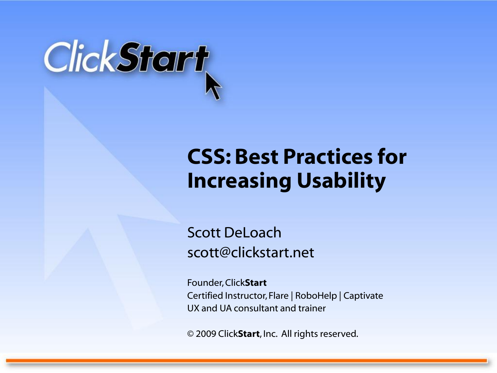

#### **CSS: Best Practices for Increasing Usability**

Scott DeLoach scott@clickstart.net

Founder, Click**Start** Certified Instructor, Flare | RoboHelp | Captivate UX and UA consultant and trainer

© 2009 Click**Start**, Inc. All rights reserved.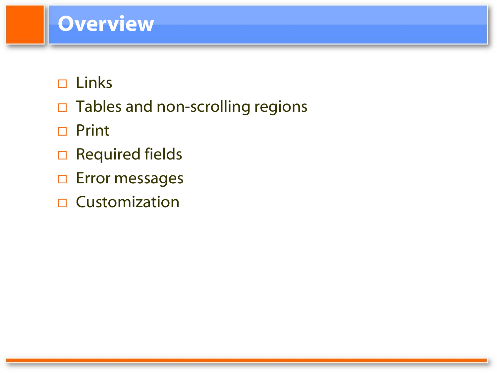#### **Overview**

- $\square$  Links
- $\Box$  Tables and non-scrolling regions
- □ Print
- □ Required fields
- □ Error messages
- $\square$  Customization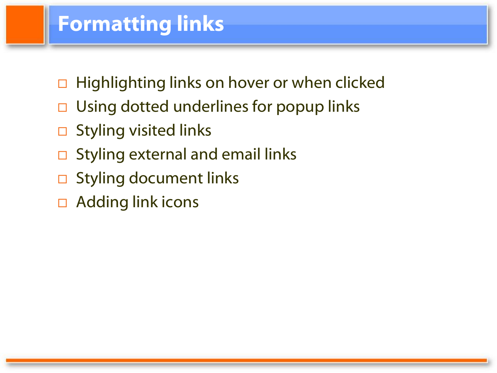### **Formatting links**

- □ Highlighting links on hover or when clicked
- $\Box$  Using dotted underlines for popup links
- $\square$  Styling visited links
- $\Box$  Styling external and email links
- $\square$  Styling document links
- $\Box$  Adding link icons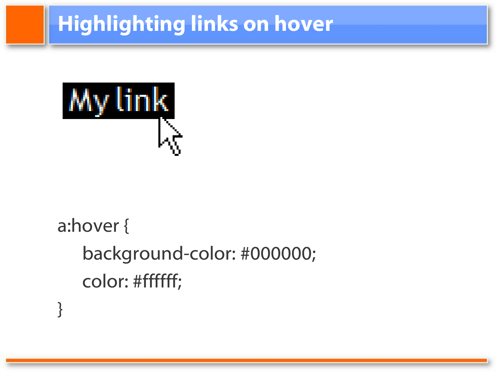# **Highlighting links on hover**



}

# a:hover { background-color: #000000; color: #ffffff;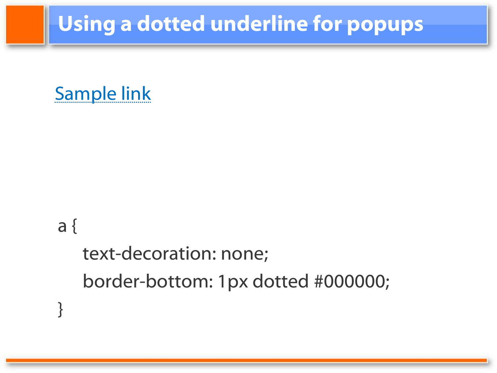## **Using a dotted underline for popups**



#### a {

}

text-decoration: none; border-bottom: 1px dotted #000000;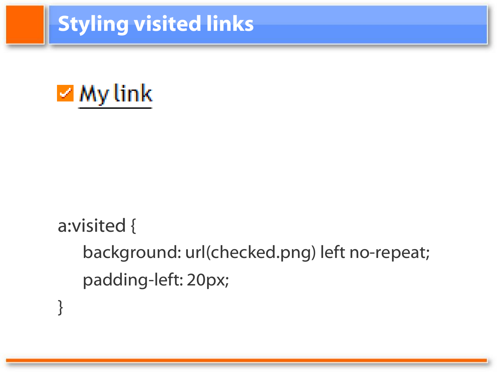## **Styling visited links**



}

# a:visited { background: url(checked.png) left no-repeat; padding-left: 20px;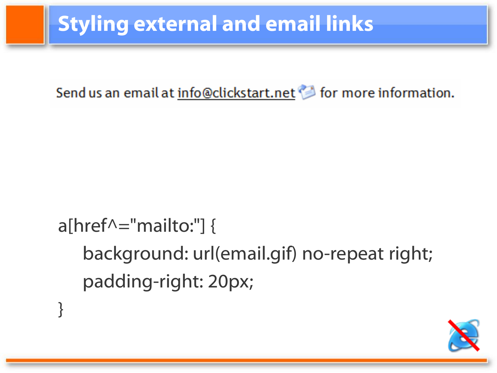## **Styling external and email links**

Send us an email at info@clickstart.net <a>
Send us an email at info@clickstart.net</a>
Send us an email at info@clickstart.net

# a[href $\wedge$ ="mailto:"] { background: url(email.gif) no-repeat right; padding-right: 20px;

}

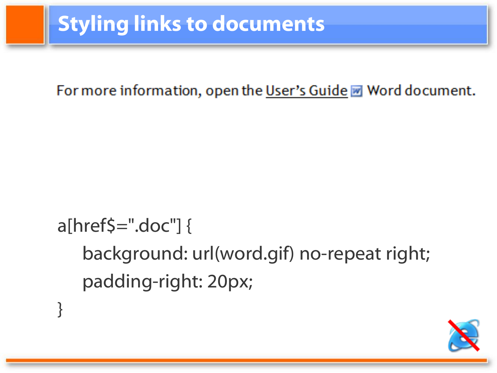## **Styling links to documents**

}

#### For more information, open the User's Guide M Word document.

# $a[hrefs=".doc"]$ background: url(word.gif) no-repeat right; padding-right: 20px;

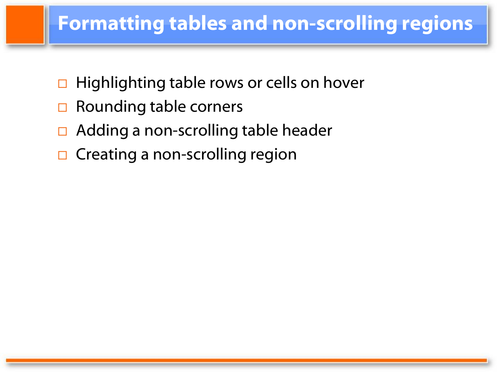#### **Formatting tables and non-scrolling regions**

- $\Box$  Highlighting table rows or cells on hover
- $\Box$  Rounding table corners
- Adding a non-scrolling table header
- $\Box$  Creating a non-scrolling region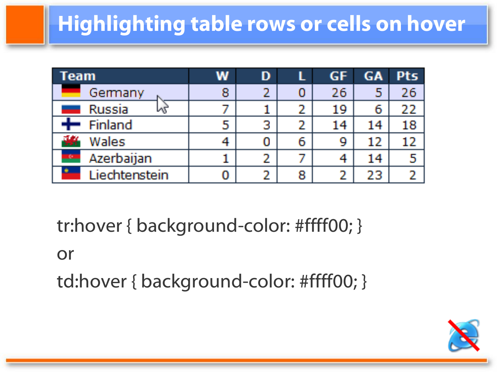# **Highlighting table rows or cells on hover**

| Team                             | w | D |   | <b>GF</b> | GA | <b>Pts</b> |
|----------------------------------|---|---|---|-----------|----|------------|
| Germany                          | 8 |   | 0 | 26        | 5  | 26         |
| <b>Russia</b><br>hã              |   |   | 2 | 19        | 6  | 22         |
| Finland                          | 5 | З | 2 | 14        | 14 | 18         |
| Wales                            |   |   | 6 | 9         | 12 | 12         |
| Azerbaijan<br><b>All Company</b> |   |   |   | 4         | 14 |            |
| Liechtenstein                    | 0 |   | 8 | 2         | 23 |            |

tr:hover { background-color: #ffff00; }

#### or

td:hover { background-color: #ffff00; }

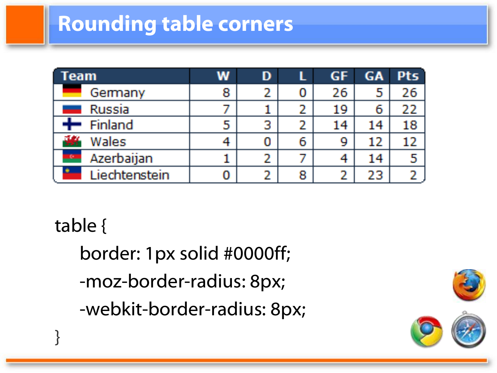### **Rounding table corners**

| Team                         | w | D |   | GF | <b>GA</b> | <b>Pts</b> |
|------------------------------|---|---|---|----|-----------|------------|
| Germany                      | 8 |   | 0 | 26 | 5         | 26         |
| <b>Russia</b>                |   |   | 2 | 19 | 6         | 22         |
| ╇<br>Finland                 | 5 | 3 | 2 | 14 | 14        | 18         |
| Wales                        |   |   | 6 | 9  | 12        | 12         |
| <b>In the </b><br>Azerbaijan |   |   |   |    | 14        | -5         |
| Liechtenstein                | 0 |   | 8 |    | 23        |            |

table {

}

border: 1px solid #0000ff; -moz-border-radius: 8px; -webkit-border-radius: 8px;

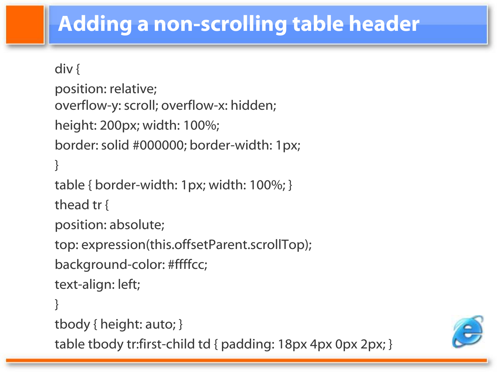## **Adding a non-scrolling table header**

```
div {
position: relative;
overflow-y: scroll; overflow-x: hidden;
height: 200px; width: 100%;
border: solid #000000; border-width: 1px;
}
table { border-width: 1px; width: 100%; }
thead tr {
position: absolute;
top: expression(this.offsetParent.scrollTop);
background-color: #ffffcc;
text-align: left;
}
tbody { height: auto; }
table tbody tr:first-child td { padding: 18px 4px 0px 2px; }
```
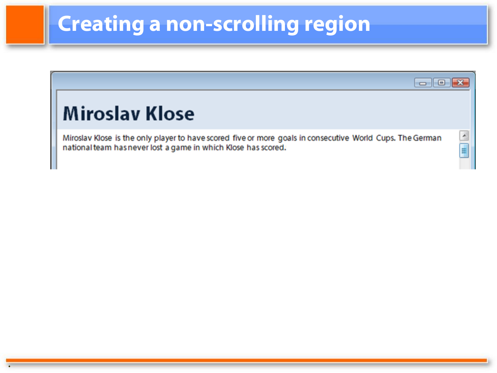## **Creating a non-scrolling region**

.

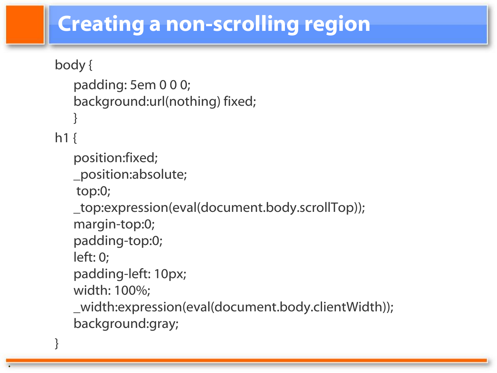### **Creating a non-scrolling region**

```
body {
   padding: 5em 0 0 0;
   background:url(nothing) fixed;
   }
h1 {
   position:fixed;
   _position:absolute;
   top:0; 
   _top:expression(eval(document.body.scrollTop));
   margin-top:0; 
   padding-top:0; 
   left: 0; 
   padding-left: 10px; 
   width: 100%; 
   _width:expression(eval(document.body.clientWidth)); 
   background:gray;
```
}

.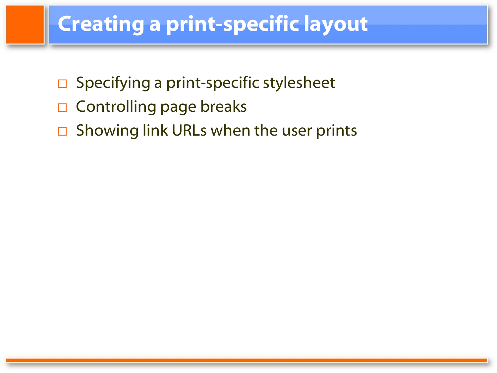### **Creating a print-specific layout**

- $\Box$  Specifying a print-specific stylesheet
- $\Box$  Controlling page breaks
- $\Box$  Showing link URLs when the user prints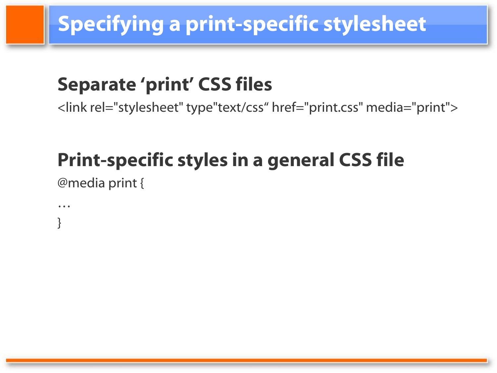## **Specifying a print-specific stylesheet**

#### **Separate 'print' CSS files**

<link rel="stylesheet" type"text/css" href="print.css" media="print">

### **Print-specific styles in a general CSS file**

@media print {

… }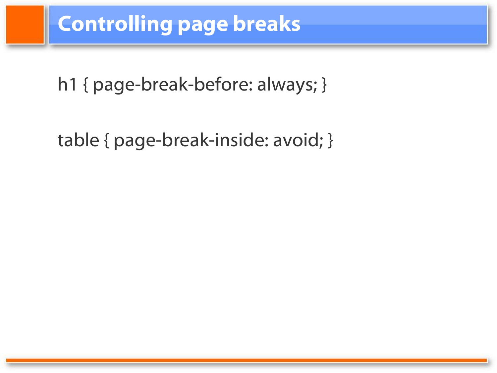#### **Controlling page breaks**

h1 { page-break-before: always; }

table { page-break-inside: avoid; }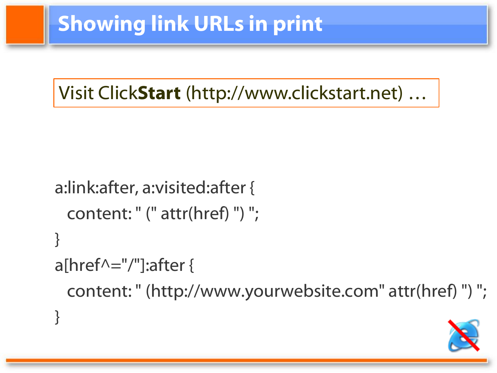Visit Click**Start** (http://www.clickstart.net) …

```
a:link:after, a:visited:after {
 content: " (" attr(href) ") ";
}
a[href\wedge="/"]:after {
 content: " (http://www.yourwebsite.com" attr(href) ") ";
}
```
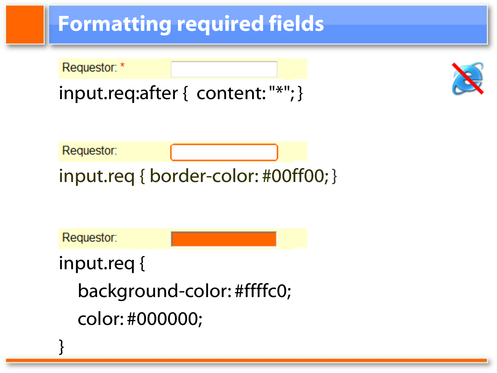## **Formatting required fields**

Requestor: \*

input.req:after { content: "\*"; }



Requestor:

input.req { border-color: #00ff00; }

Requestor:

}

input.req {

background-color: #ffffc0; color: #000000;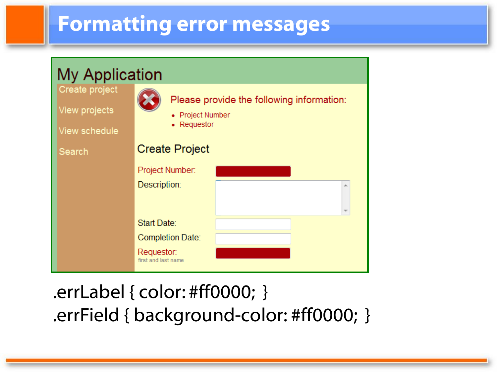#### **Formatting error messages**

| <b>My Application</b>                            |                                                                            |  |  |  |
|--------------------------------------------------|----------------------------------------------------------------------------|--|--|--|
| Create project<br>View projects<br>View schedule | Please provide the following information:<br>• Project Number<br>Requestor |  |  |  |
| Search                                           | <b>Create Project</b>                                                      |  |  |  |
|                                                  | Project Number:                                                            |  |  |  |
|                                                  | Description:                                                               |  |  |  |
|                                                  | Start Date:                                                                |  |  |  |
|                                                  | <b>Completion Date:</b>                                                    |  |  |  |
|                                                  | Requestor:<br>first and last name                                          |  |  |  |

#### .errLabel { color: #ff0000; } .errField { background-color: #ff0000; }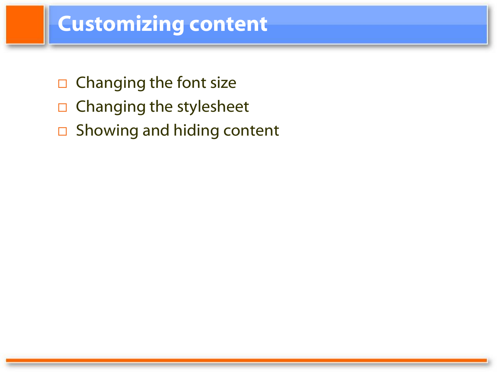#### **Customizing content**

- $\Box$  Changing the font size
- $\Box$  Changing the stylesheet
- □ Showing and hiding content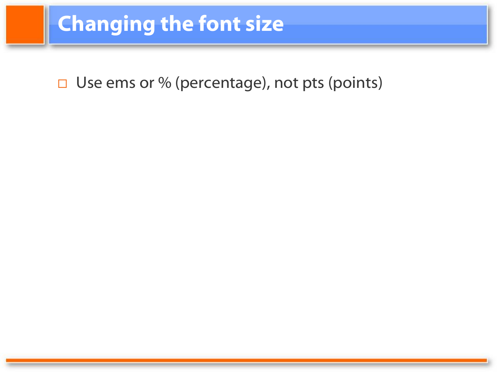### **Changing the font size**

□ Use ems or % (percentage), not pts (points)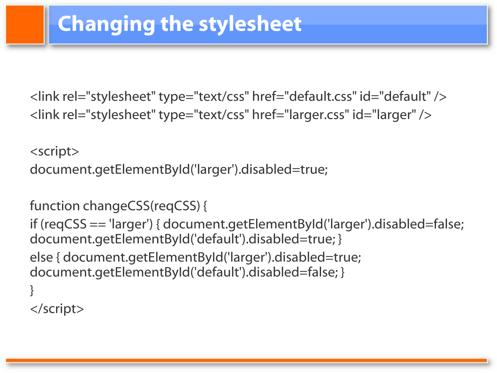<link rel="stylesheet" type="text/css" href="default.css" id="default" /> <link rel="stylesheet" type="text/css" href="larger.css" id="larger" />

<script> document.getElementById('larger').disabled=true;

function changeCSS(reqCSS) {

if (reqCSS == 'larger') { document.getElementById('larger').disabled=false; document.getElementById('default').disabled=true; } else { document.getElementById('larger').disabled=true; document.getElementById('default').disabled=false; } }

</script>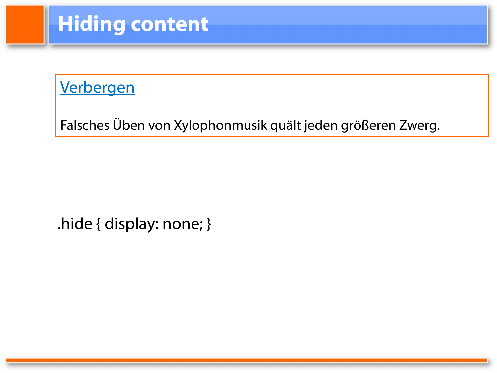## **Hiding content**

#### Verbergen

Falsches Üben von Xylophonmusik quält jeden größeren Zwerg.

.hide { display: none; }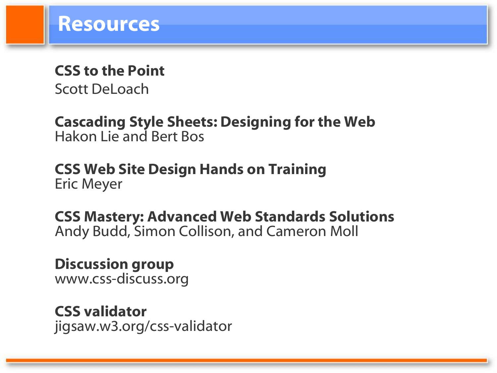# **CSS to the Point**

Scott DeLoach

**Cascading Style Sheets: Designing for the Web** Hakon Lie and Bert Bos

**CSS Web Site Design Hands on Training** Eric Meyer

**CSS Mastery: Advanced Web Standards Solutions** Andy Budd, Simon Collison, and Cameron Moll

**Discussion group** www.css-discuss.org

**CSS validator** jigsaw.w3.org/css-validator